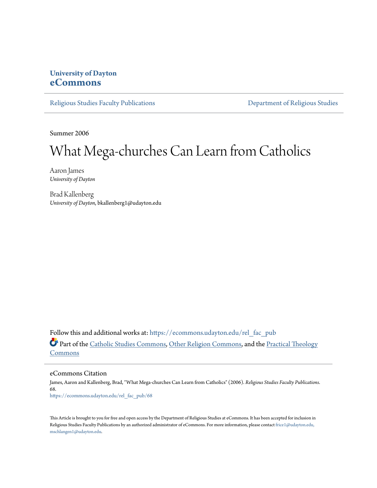## **University of Dayton [eCommons](https://ecommons.udayton.edu?utm_source=ecommons.udayton.edu%2Frel_fac_pub%2F68&utm_medium=PDF&utm_campaign=PDFCoverPages)**

[Religious Studies Faculty Publications](https://ecommons.udayton.edu/rel_fac_pub?utm_source=ecommons.udayton.edu%2Frel_fac_pub%2F68&utm_medium=PDF&utm_campaign=PDFCoverPages) [Department of Religious Studies](https://ecommons.udayton.edu/rel?utm_source=ecommons.udayton.edu%2Frel_fac_pub%2F68&utm_medium=PDF&utm_campaign=PDFCoverPages)

Summer 2006

## What Mega-churches Can Learn from Catholics

Aaron James *University of Dayton*

Brad Kallenberg *University of Dayton*, bkallenberg1@udayton.edu

Follow this and additional works at: [https://ecommons.udayton.edu/rel\\_fac\\_pub](https://ecommons.udayton.edu/rel_fac_pub?utm_source=ecommons.udayton.edu%2Frel_fac_pub%2F68&utm_medium=PDF&utm_campaign=PDFCoverPages) Part of the [Catholic Studies Commons,](http://network.bepress.com/hgg/discipline/1294?utm_source=ecommons.udayton.edu%2Frel_fac_pub%2F68&utm_medium=PDF&utm_campaign=PDFCoverPages) [Other Religion Commons](http://network.bepress.com/hgg/discipline/545?utm_source=ecommons.udayton.edu%2Frel_fac_pub%2F68&utm_medium=PDF&utm_campaign=PDFCoverPages), and the [Practical Theology](http://network.bepress.com/hgg/discipline/1186?utm_source=ecommons.udayton.edu%2Frel_fac_pub%2F68&utm_medium=PDF&utm_campaign=PDFCoverPages) [Commons](http://network.bepress.com/hgg/discipline/1186?utm_source=ecommons.udayton.edu%2Frel_fac_pub%2F68&utm_medium=PDF&utm_campaign=PDFCoverPages)

eCommons Citation

James, Aaron and Kallenberg, Brad, "What Mega-churches Can Learn from Catholics" (2006). *Religious Studies Faculty Publications*. 68. [https://ecommons.udayton.edu/rel\\_fac\\_pub/68](https://ecommons.udayton.edu/rel_fac_pub/68?utm_source=ecommons.udayton.edu%2Frel_fac_pub%2F68&utm_medium=PDF&utm_campaign=PDFCoverPages)

This Article is brought to you for free and open access by the Department of Religious Studies at eCommons. It has been accepted for inclusion in Religious Studies Faculty Publications by an authorized administrator of eCommons. For more information, please contact [frice1@udayton.edu,](mailto:frice1@udayton.edu,%20mschlangen1@udayton.edu) [mschlangen1@udayton.edu.](mailto:frice1@udayton.edu,%20mschlangen1@udayton.edu)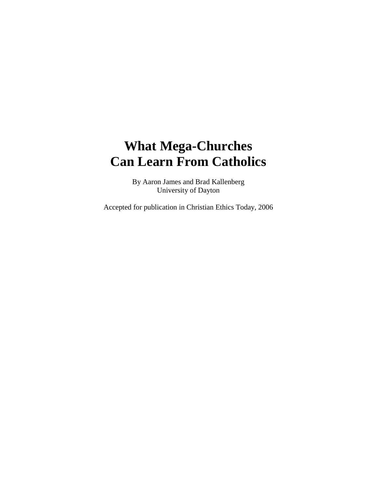## **What Mega-Churches Can Learn From Catholics**

By Aaron James and Brad Kallenberg University of Dayton

Accepted for publication in Christian Ethics Today, 2006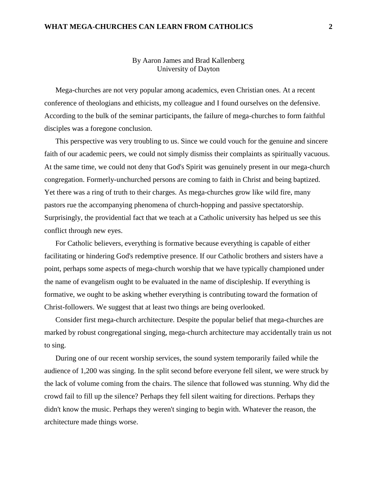## **WHAT MEGA-CHURCHES CAN LEARN FROM CATHOLICS 2**

By Aaron James and Brad Kallenberg University of Dayton

Mega-churches are not very popular among academics, even Christian ones. At a recent conference of theologians and ethicists, my colleague and I found ourselves on the defensive. According to the bulk of the seminar participants, the failure of mega-churches to form faithful disciples was a foregone conclusion.

This perspective was very troubling to us. Since we could vouch for the genuine and sincere faith of our academic peers, we could not simply dismiss their complaints as spiritually vacuous. At the same time, we could not deny that God's Spirit was genuinely present in our mega-church congregation. Formerly-unchurched persons are coming to faith in Christ and being baptized. Yet there was a ring of truth to their charges. As mega-churches grow like wild fire, many pastors rue the accompanying phenomena of church-hopping and passive spectatorship. Surprisingly, the providential fact that we teach at a Catholic university has helped us see this conflict through new eyes.

For Catholic believers, everything is formative because everything is capable of either facilitating or hindering God's redemptive presence. If our Catholic brothers and sisters have a point, perhaps some aspects of mega-church worship that we have typically championed under the name of evangelism ought to be evaluated in the name of discipleship. If everything is formative, we ought to be asking whether everything is contributing toward the formation of Christ-followers. We suggest that at least two things are being overlooked.

Consider first mega-church architecture. Despite the popular belief that mega-churches are marked by robust congregational singing, mega-church architecture may accidentally train us not to sing.

During one of our recent worship services, the sound system temporarily failed while the audience of 1,200 was singing. In the split second before everyone fell silent, we were struck by the lack of volume coming from the chairs. The silence that followed was stunning. Why did the crowd fail to fill up the silence? Perhaps they fell silent waiting for directions. Perhaps they didn't know the music. Perhaps they weren't singing to begin with. Whatever the reason, the architecture made things worse.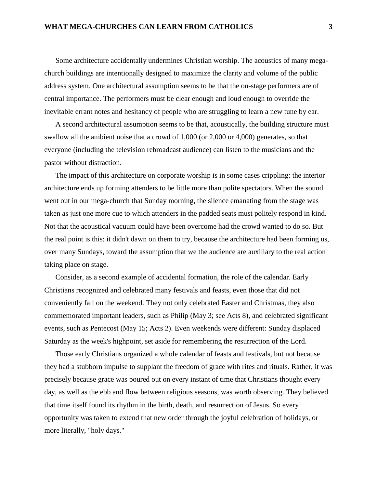Some architecture accidentally undermines Christian worship. The acoustics of many megachurch buildings are intentionally designed to maximize the clarity and volume of the public address system. One architectural assumption seems to be that the on-stage performers are of central importance. The performers must be clear enough and loud enough to override the inevitable errant notes and hesitancy of people who are struggling to learn a new tune by ear.

A second architectural assumption seems to be that, acoustically, the building structure must swallow all the ambient noise that a crowd of 1,000 (or 2,000 or 4,000) generates, so that everyone (including the television rebroadcast audience) can listen to the musicians and the pastor without distraction.

The impact of this architecture on corporate worship is in some cases crippling: the interior architecture ends up forming attenders to be little more than polite spectators. When the sound went out in our mega-church that Sunday morning, the silence emanating from the stage was taken as just one more cue to which attenders in the padded seats must politely respond in kind. Not that the acoustical vacuum could have been overcome had the crowd wanted to do so. But the real point is this: it didn't dawn on them to try, because the architecture had been forming us, over many Sundays, toward the assumption that we the audience are auxiliary to the real action taking place on stage.

Consider, as a second example of accidental formation, the role of the calendar. Early Christians recognized and celebrated many festivals and feasts, even those that did not conveniently fall on the weekend. They not only celebrated Easter and Christmas, they also commemorated important leaders, such as Philip (May 3; see Acts 8), and celebrated significant events, such as Pentecost (May 15; Acts 2). Even weekends were different: Sunday displaced Saturday as the week's highpoint, set aside for remembering the resurrection of the Lord.

Those early Christians organized a whole calendar of feasts and festivals, but not because they had a stubborn impulse to supplant the freedom of grace with rites and rituals. Rather, it was precisely because grace was poured out on every instant of time that Christians thought every day, as well as the ebb and flow between religious seasons, was worth observing. They believed that time itself found its rhythm in the birth, death, and resurrection of Jesus. So every opportunity was taken to extend that new order through the joyful celebration of holidays, or more literally, "holy days."